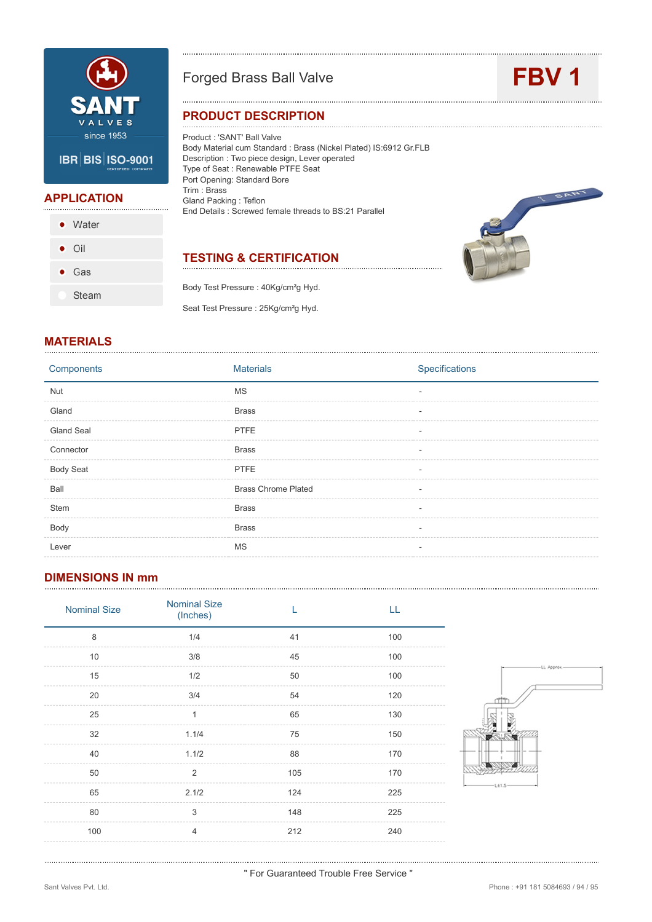

### Forged Brass Ball Valve **FBV 1**

#### **PRODUCT DESCRIPTION**

Product : 'SANT' Ball Valve Body Material cum Standard : Brass (Nickel Plated) IS:6912 Gr.FLB Description : Two piece design, Lever operated Type of Seat : Renewable PTFE Seat Port Opening: Standard Bore Trim : Brass Gland Packing : Teflon End Details : Screwed female threads to BS:21 Parallel

### **TESTING & CERTIFICATION**

Body Test Pressure : 40Kg/cm²g Hyd. Seat Test Pressure : 25Kg/cm<sup>2</sup>g Hyd.



#### **MATERIALS**

**APPLICATION**

 $\bullet$  Water

Gas ٠

Steam

 $\bullet$  Oil

| Components        | <b>Materials</b>           | Specifications |
|-------------------|----------------------------|----------------|
| <b>Nut</b>        | <b>MS</b>                  |                |
| Gland             | <b>Brass</b>               |                |
| <b>Gland Seal</b> | <b>PTFE</b>                |                |
| Connector         | <b>Brass</b>               |                |
| <b>Body Seat</b>  | <b>PTFE</b>                |                |
| Ball              | <b>Brass Chrome Plated</b> |                |
| Stem              | <b>Brass</b>               |                |
| Body              | <b>Brass</b>               |                |
| Lever             | MS                         |                |
|                   |                            |                |

#### **DIMENSIONS IN mm**

| <b>Nominal Size</b> | <b>Nominal Size</b><br>(Inches) |     | LL  |
|---------------------|---------------------------------|-----|-----|
| 8                   | 1/4                             | 41  | 100 |
| 10                  | 3/8                             | 45  | 100 |
| 15                  | 1/2                             | 50  | 100 |
| 20                  | 3/4                             | 54  | 120 |
| 25                  | 1                               | 65  | 130 |
| 32                  | 1.1/4                           | 75  | 150 |
| 40                  | 1.1/2                           | 88  | 170 |
| 50                  | 2                               | 105 | 170 |
| 65                  | 2.1/2                           | 124 | 225 |
| 80                  | 3                               | 148 | 225 |
| 100                 | $\overline{4}$                  | 212 | 240 |
|                     |                                 |     |     |



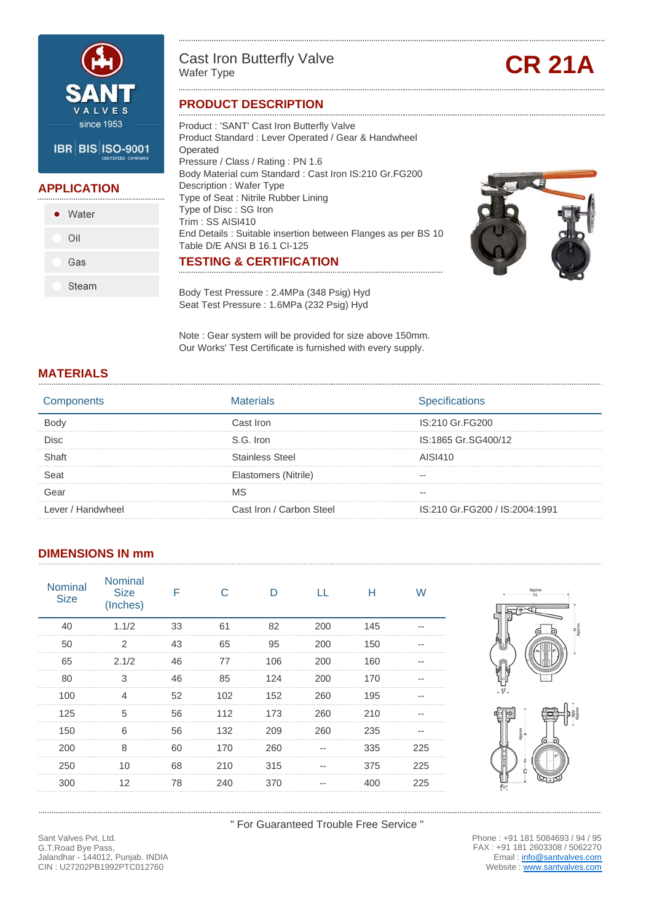

#### **APPLICATION**

| • Water |
|---------|
| Oil     |
| Gas     |
| Steam   |

# Cast Iron Butterfly Valve<br>Wafer Type

#### **PRODUCT DESCRIPTION**

Product : 'SANT' Cast Iron Butterfly Valve Product Standard : Lever Operated / Gear & Handwheel Operated Pressure / Class / Rating : PN 1.6 Body Material cum Standard : Cast Iron IS:210 Gr.FG200 Description : Wafer Type Type of Seat : Nitrile Rubber Lining Type of Disc : SG Iron Trim : SS AISI410 End Details : Suitable insertion between Flanges as per BS 10 Table D/E ANSI B 16.1 CI-125 **TESTING & CERTIFICATION**

Body Test Pressure : 2.4MPa (348 Psig) Hyd Seat Test Pressure : 1.6MPa (232 Psig) Hyd

Note : Gear system will be provided for size above 150mm. Our Works' Test Certificate is furnished with every supply.

#### **MATERIALS**

|                 | 'aterials                | อecifications                  |
|-----------------|--------------------------|--------------------------------|
|                 | `ast Iron                | IS:210 Gr.FG200                |
| Disc            | S.G. Iron                | IS:1865 Gr.SG400/12            |
|                 | tainless Steel           | AISI410                        |
|                 | Elastomers (Nitrile)     |                                |
|                 |                          |                                |
| <b>Handwhee</b> | :ast Iron / Carbon Steel | IS:210 Gr.FG200 / IS:2004:1991 |

#### **DIMENSIONS IN mm**

| <b>Nominal</b><br><b>Size</b> | <b>Nominal</b><br><b>Size</b><br>(Inches) |    |     |     |     | н   | W   |
|-------------------------------|-------------------------------------------|----|-----|-----|-----|-----|-----|
| 40                            | 1.1/2                                     | 33 | 61  | 82  | 200 | 145 |     |
| 50                            | 2                                         | 43 | 65  | 95  | 200 | 150 |     |
| 65                            | 2.1/2                                     | 46 | 77  | 106 | 200 | 160 |     |
| 80                            | 3                                         | 46 | 85  | 124 | 200 | 170 |     |
| 100                           |                                           | 52 | 102 | 152 | 260 | 195 |     |
| 125                           | 5                                         | 56 | 112 | 173 | 260 | 210 |     |
| 150                           |                                           | 56 | 132 | 209 | 260 | 235 |     |
| 200                           | 8                                         | 60 | 170 | 260 |     | 335 | 225 |
| 250                           | 10                                        | 68 | 210 | 315 |     | 375 | 225 |
| 300                           | 12                                        | 78 | 240 | 370 |     | 400 | 225 |
|                               |                                           |    |     |     |     |     |     |





" For Guaranteed Trouble Free Service "

Phone : +91 181 5084693 / 94 / 95 FAX : +91 181 2603308 / 5062270 Email : info@santvalves.com Website : www.santvalves.com

Sant Valves Pvt. Ltd. G.T.Road Bye Pass, Jalandhar - 144012, Punjab. INDIA CIN : U27202PB1992PTC012760

Œ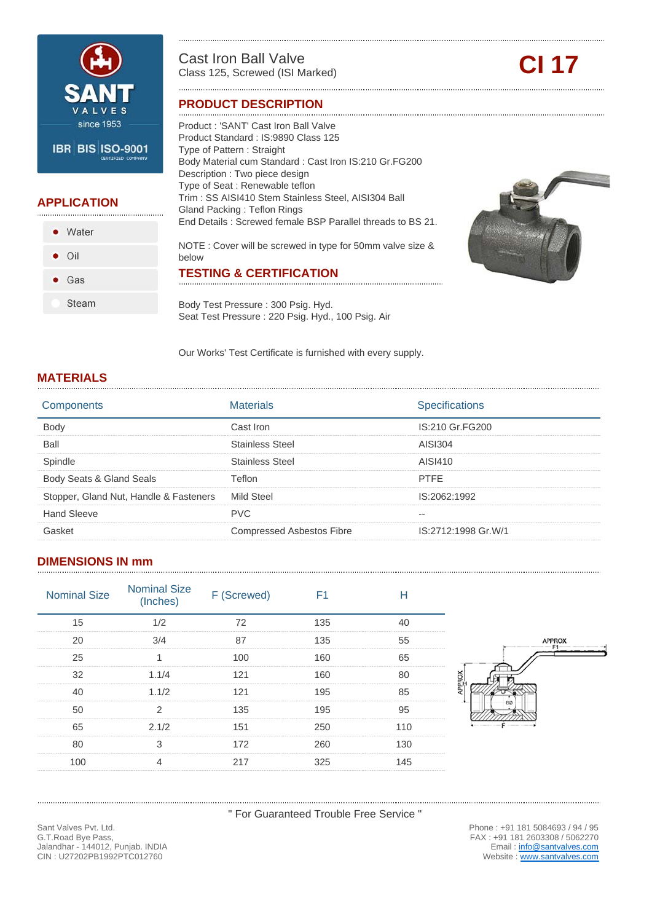

# **APPLICATION**

• Water  $\bullet$  Oil  $\bullet$  Gas Steam

Cast Iron Ball Valve Cast Iron Ball Valve<br>Class 125, Screwed (ISI Marked) **CI 17** 

#### **PRODUCT DESCRIPTION**

Product : 'SANT' Cast Iron Ball Valve Product Standard : IS:9890 Class 125 Type of Pattern : Straight Body Material cum Standard : Cast Iron IS:210 Gr.FG200 Description : Two piece design Type of Seat : Renewable teflon Trim : SS AISI410 Stem Stainless Steel, AISI304 Ball Gland Packing : Teflon Rings End Details : Screwed female BSP Parallel threads to BS 21. NOTE : Cover will be screwed in type for 50mm valve size & below **TESTING & CERTIFICATION**

Body Test Pressure : 300 Psig. Hyd. Seat Test Pressure : 220 Psig. Hyd., 100 Psig. Air



Our Works' Test Certificate is furnished with every supply.

#### **MATERIALS**

|                                        | Materials                 | pecifications       |
|----------------------------------------|---------------------------|---------------------|
|                                        | Cast Iron                 | IS:210 Gr.FG200     |
| Ball                                   | Stainless Steel           | AISI304             |
| Spindle                                | Stainless Steel           | AISI410             |
| Body Seats & Gland Seals               | eflon)                    | <b>PTFF</b>         |
| Stopper, Gland Nut, Handle & Fasteners | Mild Steel                | IS:2062:1992        |
| Hand Sleeve                            | PVC.                      |                     |
|                                        | Compressed Asbestos Fibre | IS:2712:1998 Gr.W/1 |

#### **DIMENSIONS IN mm**

| <b>Nominal Size</b> | Nominal Size<br>(Inches) F (Screwed) |    |                  |
|---------------------|--------------------------------------|----|------------------|
|                     |                                      | 35 |                  |
|                     |                                      | 35 |                  |
|                     |                                      |    |                  |
|                     |                                      |    |                  |
|                     |                                      |    |                  |
|                     |                                      |    |                  |
|                     | 2.1/2                                |    | come and company |
|                     |                                      |    |                  |
|                     |                                      |    |                  |

" For Guaranteed Trouble Free Service "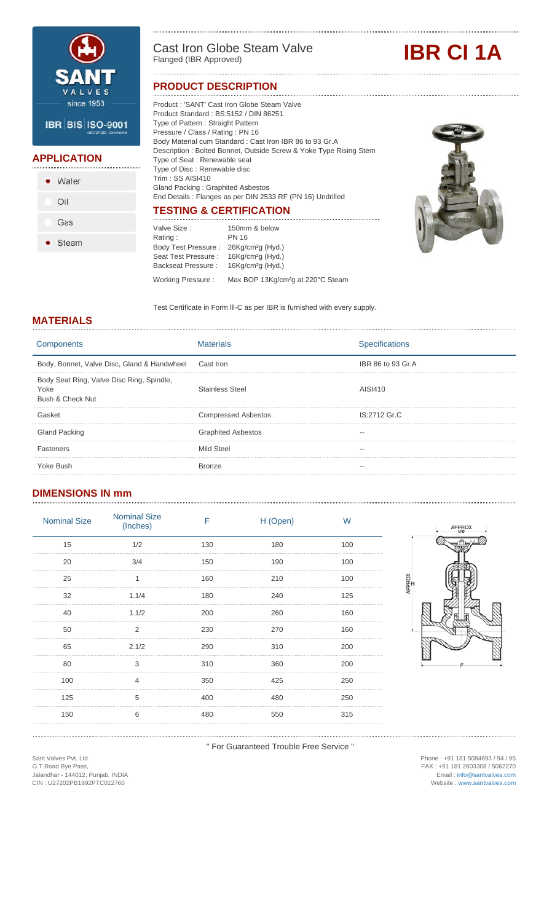

**APPLICATION**

• Water

Oil

Gas

• Steam

Cast Iron Globe Steam Valve<br>Flanged (IBR Approved)

#### **PRODUCT DESCRIPTION**

**IBR CI 1A** 

#### Product : 'SANT' Cast Iron Globe Steam Valve Product Standard : BS:5152 / DIN 86251 Type of Pattern : Straight Pattern Pressure / Class / Rating : PN 16 Body Material cum Standard : Cast Iron IBR 86 to 93 Gr.A Description : Bolted Bonnet, Outside Screw & Yoke Type Rising Stem Type of Seat : Renewable seat Type of Disc : Renewable disc Trim : SS AISI410 Gland Packing : Graphited Asbestos End Details : Flanges as per DIN 2533 RF (PN 16) Undrilled **TESTING & CERTIFICATION**



Valve Size : Rating : Body Test Pressure : Seat Test Pressure : Backseat Pressure : 16Kg/cm²g (Hyd.) 150mm & below PN 16 26Kg/cm²g (Hyd.) 16Kg/cm²g (Hyd.) Working Pressure : Max BOP 13Kg/cm<sup>2</sup>g at 220°C Steam

Test Certificate in Form lll-C as per IBR is furnished with every supply.

#### **MATERIALS**

| Materials                  | <b>Specifications</b> |
|----------------------------|-----------------------|
| Cast Iron                  | IBR 86 to 93 Gr.A     |
| <b>Stainless Steel</b>     | AISI410               |
| <b>Compressed Asbestos</b> | IS:2712 Gr.C          |
| <b>Graphited Asbestos</b>  |                       |
| Mild Steel                 |                       |
| <b>Bronze</b>              |                       |
|                            |                       |

### **DIMENSIONS IN mm**

| <b>Nominal Size</b> | <b>Nominal Size</b><br>(Inches) | F   | H (Open) | W   |
|---------------------|---------------------------------|-----|----------|-----|
| 15                  | 1/2                             | 130 | 180      | 100 |
| 20                  | 3/4                             | 150 | 190      | 100 |
| 25                  |                                 | 160 | 210      | 100 |
| 32                  | 1.1/4                           | 180 | 240      | 125 |
| 40                  | 1.1/2                           | 200 | 260      | 160 |
| 50                  | 2                               | 230 | 270      | 160 |
| 65                  | 2.1/2                           | 290 | 310      | 200 |
| 80                  | 3                               | 310 | 360      | 200 |
| 100                 | 4                               | 350 | 425      | 250 |
| 125                 | 5                               | 400 | 480      | 250 |
| 150                 | 6                               | 480 | 550      | 315 |
|                     |                                 |     |          |     |



" For Guaranteed Trouble Free Service "

Sant Valves Pvt. Ltd. G.T.Road Bye Pass, Jalandhar - 144012, Punjab. INDIA CIN : U27202PB1992PTC012760

Phone : +91 181 5084693 / 94 / 95 FAX : +91 181 2603308 / 5062270 Email : info@santvalves.com Website : www.santvalves.com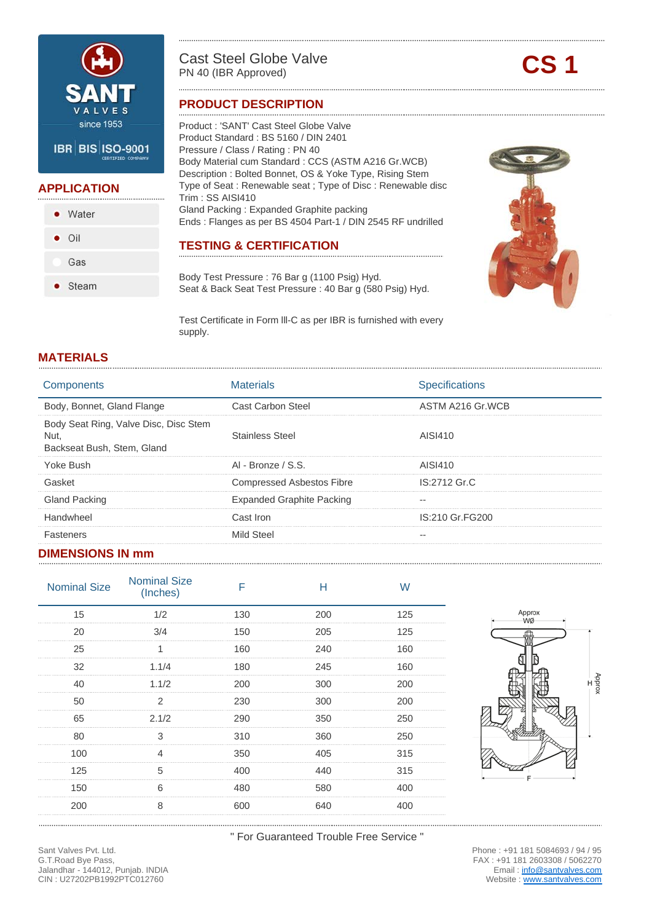

#### **APPLICATION**

• Water  $\bullet$  Oil Gas • Steam

# Cast Steel Globe Valve<br>
PN 40 (IBR Approved)

#### **PRODUCT DESCRIPTION**

Product : 'SANT' Cast Steel Globe Valve Product Standard : BS 5160 / DIN 2401 Pressure / Class / Rating : PN 40 Body Material cum Standard : CCS (ASTM A216 Gr.WCB) Description : Bolted Bonnet, OS & Yoke Type, Rising Stem Type of Seat : Renewable seat ; Type of Disc : Renewable disc Trim : SS AISI410 Gland Packing : Expanded Graphite packing Ends : Flanges as per BS 4504 Part-1 / DIN 2545 RF undrilled

#### **TESTING & CERTIFICATION**

Body Test Pressure : 76 Bar g (1100 Psig) Hyd. Seat & Back Seat Test Pressure : 40 Bar g (580 Psig) Hyd.

Test Certificate in Form lll-C as per IBR is furnished with every supply.

#### **MATERIALS**

| Components                                                                  | Materials                        | Specifications   |
|-----------------------------------------------------------------------------|----------------------------------|------------------|
| Body, Bonnet, Gland Flange                                                  | Cast Carbon Steel                | ASTM A216 Gr.WCB |
| Body Seat Ring, Valve Disc, Disc Stem<br>Nut.<br>Backseat Bush, Stem, Gland | <b>Stainless Steel</b>           | AISI410          |
| Yoke Bush                                                                   | AI - Bronze / S.S.               | AISI410          |
| Gasket                                                                      | <b>Compressed Asbestos Fibre</b> | IS:2712 Gr.C     |
| <b>Gland Packing</b>                                                        | <b>Expanded Graphite Packing</b> |                  |
| Handwheel                                                                   | Cast Iron                        | IS:210 Gr. FG200 |
| Fasteners                                                                   | Mild Steel                       |                  |
|                                                                             |                                  |                  |

#### **DIMENSIONS IN mm**

| <b>Nominal Size</b> | <b>Nominal Size</b><br>(Inches) |     |     | W   |
|---------------------|---------------------------------|-----|-----|-----|
| 15                  | 1/2                             | 130 | 200 | 125 |
| 20                  | 3/4                             | 150 | 205 | 125 |
| 25                  |                                 | 160 | 240 | 160 |
| 32                  | 1.1/4                           | 180 | 245 | 160 |
| 40                  | 1.1/2                           | 200 | 300 | 200 |
| 50                  | 2                               | 230 | 300 | 200 |
| 65                  | 2.1/2                           | 290 | 350 | 250 |
| 80                  |                                 | 310 | 360 | 250 |
| 100                 |                                 | 350 | 405 | 315 |
| 125                 | 5                               | 400 | 440 | 315 |
| 150                 | n                               | 480 | 580 | 400 |
| 200                 | 8                               | 600 | 640 | 400 |
|                     |                                 |     |     |     |



" For Guaranteed Trouble Free Service "

Phone : +91 181 5084693 / 94 / 95 FAX : +91 181 2603308 / 5062270 Email : info@santvalves.com Website : www.santvalves.com

Sant Valves Pvt. Ltd. G.T.Road Bye Pass, Jalandhar - 144012, Punjab. INDIA CIN : U27202PB1992PTC012760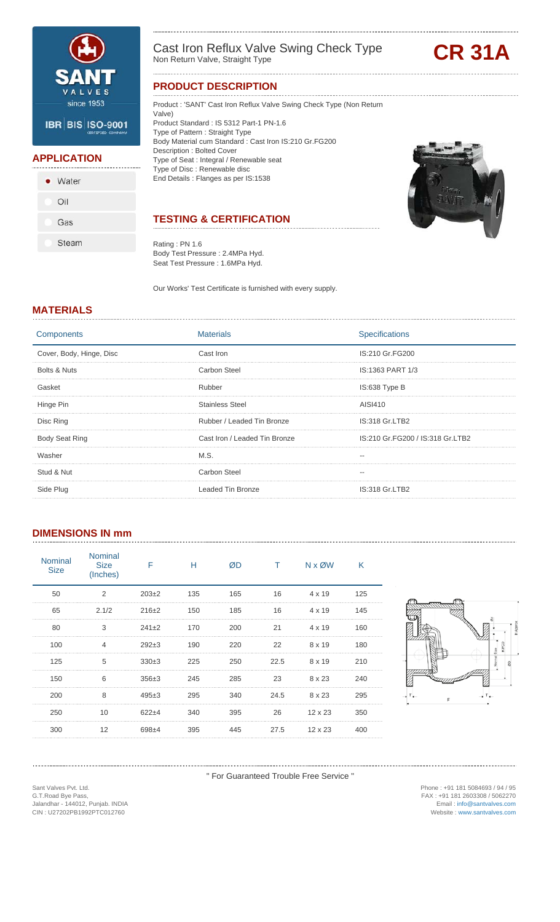

#### **APPLICATION**

| • Water |
|---------|
| Oil     |
| Gas     |
| Steam   |

Cast Iron Reflux Valve Swing Check Type Non Return Valve, Straight Type **CR 31A**

#### **PRODUCT DESCRIPTION**

Product : 'SANT' Cast Iron Reflux Valve Swing Check Type (Non Return

Valve) Product Standard : IS 5312 Part-1 PN-1.6 Type of Pattern : Straight Type Body Material cum Standard : Cast Iron IS:210 Gr.FG200 Description : Bolted Cover Type of Seat : Integral / Renewable seat Type of Disc : Renewable disc End Details : Flanges as per IS:1538

### **TESTING & CERTIFICATION**

Rating : PN 1.6 Body Test Pressure : 2.4MPa Hyd. Seat Test Pressure : 1.6MPa Hyd.

Our Works' Test Certificate is furnished with every supply.

#### **MATERIALS**

| Components               | <b>Materials</b>              | <b>Specifications</b>            |
|--------------------------|-------------------------------|----------------------------------|
| Cover, Body, Hinge, Disc | Cast Iron                     | IS:210 Gr.FG200                  |
| Bolts & Nuts             | Carbon Steel                  | IS:1363 PART 1/3                 |
| Gasket                   | Rubber                        | IS:638 Type B                    |
| Hinge Pin                | <b>Stainless Steel</b>        | AISI410                          |
| Disc Ring                | Rubber / Leaded Tin Bronze    | IS:318 Gr.LTB2                   |
| <b>Body Seat Ring</b>    | Cast Iron / Leaded Tin Bronze | IS:210 Gr.FG200 / IS:318 Gr.LTB2 |
| Washer                   | M.S.                          |                                  |
| Stud & Nut               | Carbon Steel                  |                                  |
| Side Plug                | <b>Leaded Tin Bronze</b>      | IS:318 Gr.LTB2                   |

#### **DIMENSIONS IN mm**

| <b>Nominal</b><br><b>Size</b> | <b>Nominal</b><br><b>Size</b><br>(Inches) | F         | н   | ØD  |      | $N \times \emptyset W$ | Κ   |
|-------------------------------|-------------------------------------------|-----------|-----|-----|------|------------------------|-----|
| 50                            | 2                                         | $203+2$   | 135 | 165 | 16   | $4 \times 19$          | 125 |
| 65                            | 2.1/2                                     | $216+2$   | 150 | 185 | 16   | $4 \times 19$          | 145 |
| 80                            | 3                                         | $241+2$   | 170 | 200 | 21   | $4 \times 19$          | 160 |
| 100                           |                                           | $292+3$   | 190 | 220 | 22   | 8 x 19                 | 180 |
| 125                           | 5                                         | $330+3$   | 225 | 250 | 22.5 | 8 x 19                 | 210 |
| 150                           | 6                                         | $356\pm3$ | 245 | 285 | 23   | 8 x 23                 | 240 |
| 200                           | 8                                         | $495+3$   | 295 | 340 | 24.5 | 8 x 23                 | 295 |
| 250                           | 10                                        | $622+4$   | 340 | 395 | 26   | $12 \times 23$         | 350 |
| 300                           | 12                                        | $698+4$   | 395 | 445 | 27.5 | $12 \times 23$         | 400 |



" For Guaranteed Trouble Free Service "

Sant Valves Pvt. Ltd. G.T.Road Bye Pass, Jalandhar - 144012, Punjab. INDIA CIN : U27202PB1992PTC012760

Phone : +91 181 5084693 / 94 / 95 FAX : +91 181 2603308 / 5062270 Email : info@santvalves.com Website : www.santvalves.com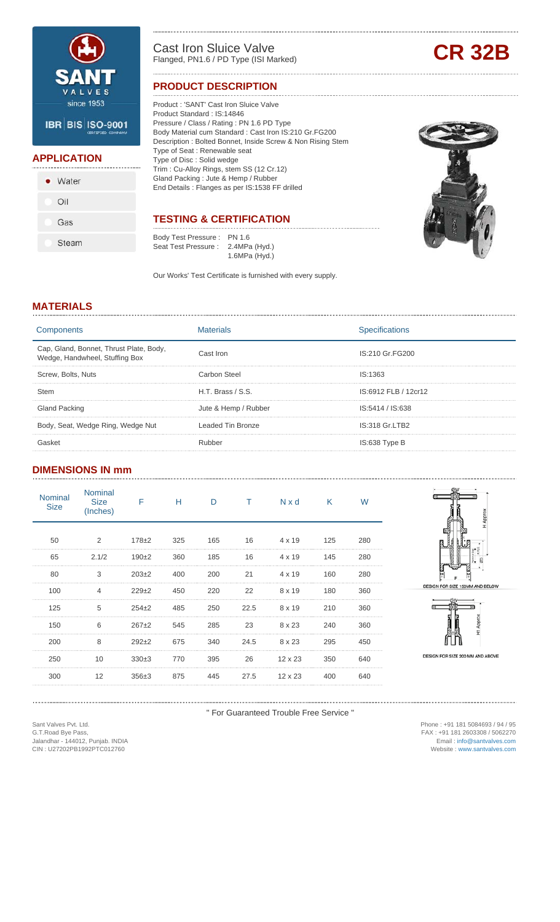

#### **APPLICATION**

| • Water |
|---------|
| Oil     |
| Gas     |
| Steam   |

Cast Iron Sluice Valve Cast Iron Sluice Valve<br>
Flanged, PN1.6 / PD Type (ISI Marked) **CR 32B** 

#### **PRODUCT DESCRIPTION**

Product : 'SANT' Cast Iron Sluice Valve Product Standard : IS:14846 Pressure / Class / Rating : PN 1.6 PD Type Body Material cum Standard : Cast Iron IS:210 Gr.FG200 Description : Bolted Bonnet, Inside Screw & Non Rising Stem Type of Seat : Renewable seat Type of Disc : Solid wedge Trim : Cu-Alloy Rings, stem SS (12 Cr.12) Gland Packing : Jute & Hemp / Rubber End Details : Flanges as per IS:1538 FF drilled

### **TESTING & CERTIFICATION**

Body Test Pressure : PN 1.6 Seat Test Pressure : 2.4MPa (Hyd.) 1.6MPa (Hyd.)

Our Works' Test Certificate is furnished with every supply.



#### **MATERIALS**

| Components                                                                |                       | Specifications       |
|---------------------------------------------------------------------------|-----------------------|----------------------|
| Cap, Gland, Bonnet, Thrust Plate, Body,<br>Wedge, Handwheel, Stuffing Box | Cast Iron             | IS:210 Gr.FG200      |
| Screw, Bolts, Nuts                                                        | Carbon Steel          | IS:1363              |
|                                                                           | $H.T.$ Brass $/$ S.S. | IS:6912 FLB / 12cr12 |
| <b>Gland Packing</b>                                                      | Jute & Hemp / Rubber  | IS:5414 / IS:638     |
| Body, Seat, Wedge Ring, Wedge Nut                                         | Leaded Tin Bronze     | IS:318 Gr.LTB2       |
|                                                                           | Rubber                | IS:638 Type B        |

#### **DIMENSIONS IN mm**

| <b>Nominal</b><br><b>Size</b> | <b>Nominal</b><br><b>Size</b><br>(Inches) | F       | н   | D   |      | Nxd            | $\mathsf{K}$ | W   |
|-------------------------------|-------------------------------------------|---------|-----|-----|------|----------------|--------------|-----|
|                               |                                           |         |     |     |      |                |              |     |
| 50                            | 2                                         | $178+2$ | 325 | 165 | 16   | $4 \times 19$  | 125          | 280 |
| 65                            | 2.1/2                                     | $190+2$ | 360 | 185 | 16   | $4 \times 19$  | 145          | 280 |
| 80                            | 3                                         | $203+2$ | 400 | 200 | 21   | $4 \times 19$  | 160          | 280 |
| 100                           |                                           | $229+2$ | 450 | 220 | 22   | 8 x 19         | 180          | 360 |
| 125                           | 5                                         | $254+2$ | 485 | 250 | 22.5 | 8 x 19         | 210          | 360 |
| 150                           | 6                                         | $267+2$ | 545 | 285 | 23   | 8 x 23         | 240          | 360 |
| 200                           | 8                                         | $292+2$ | 675 | 340 | 24.5 | 8 x 23         | 295          | 450 |
| 250                           | 10                                        | $330+3$ | 770 | 395 | 26   | $12 \times 23$ | 350          | 640 |
| 300                           | 12                                        | $356+3$ | 875 | 445 | 27.5 | $12 \times 23$ | 400          | 640 |
|                               |                                           |         |     |     |      |                |              |     |



DESIGN FOR SIZE 150MM AND BELOW



DESIGN FOR SIZE 200 MM AND ABOVE

" For Guaranteed Trouble Free Service "

Sant Valves Pvt. Ltd. G.T.Road Bye Pass, Jalandhar - 144012, Punjab. INDIA CIN : U27202PB1992PTC012760

Phone : +91 181 5084693 / 94 / 95 FAX : +91 181 2603308 / 5062270 Email : info@santvalves.com Website : www.santvalves.com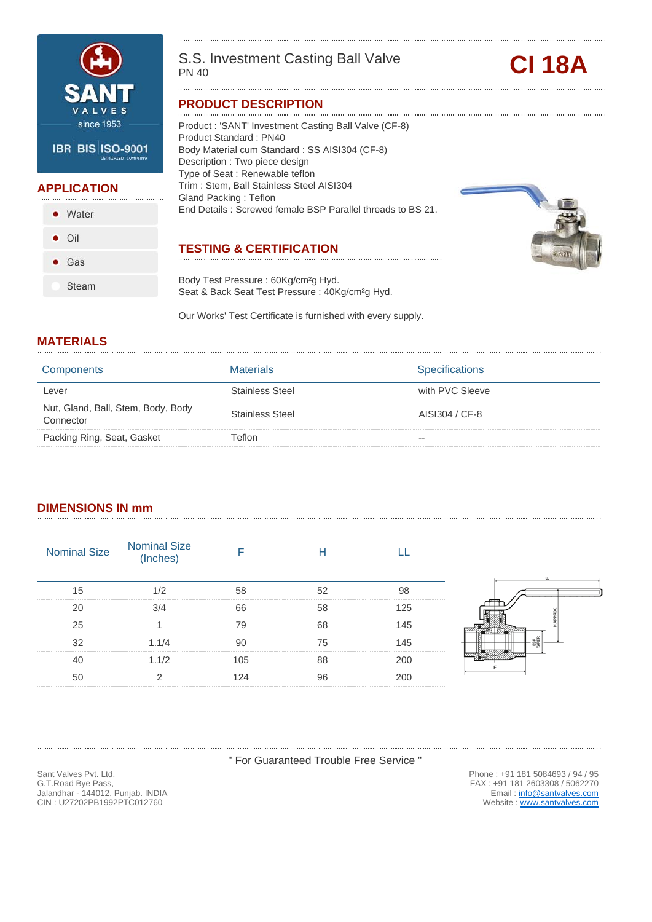

#### **APPLICATION**

• Water  $\bullet$  Oil  $\bullet$  Gas

Steam

S.S. Investment Casting Ball Valve<br>
PN 40

#### **PRODUCT DESCRIPTION**

Product : 'SANT' Investment Casting Ball Valve (CF-8) Product Standard : PN40 Body Material cum Standard : SS AISI304 (CF-8) Description : Two piece design Type of Seat : Renewable teflon Trim : Stem, Ball Stainless Steel AISI304 Gland Packing : Teflon End Details : Screwed female BSP Parallel threads to BS 21.

#### **TESTING & CERTIFICATION**

Body Test Pressure : 60Kg/cm²g Hyd. Seat & Back Seat Test Pressure : 40Kg/cm<sup>2</sup>g Hyd.

Our Works' Test Certificate is furnished with every supply.

#### **MATERIALS**

| Components                                      | Materials       | <b>Specifications</b> |
|-------------------------------------------------|-----------------|-----------------------|
| Lever                                           | Stainless Steel | with PVC Sleeve       |
| Nut, Gland, Ball, Stem, Body, Body<br>Connector | Stainless Steel | AISI304 / CF-8        |
| Packing Ring, Seat, Gasket                      | Γeflon          | $- -$                 |

#### **DIMENSIONS IN mm**

| <b>Nominal Size</b> | Nominal Size<br>(Inches) |  |  |
|---------------------|--------------------------|--|--|
|                     |                          |  |  |
|                     |                          |  |  |
|                     |                          |  |  |
|                     | 1.1/4                    |  |  |
|                     |                          |  |  |
|                     |                          |  |  |
|                     |                          |  |  |

" For Guaranteed Trouble Free Service "

Sant Valves Pvt. Ltd. G.T.Road Bye Pass, Jalandhar - 144012, Punjab. INDIA CIN : U27202PB1992PTC012760

Phone : +91 181 5084693 / 94 / 95 FAX : +91 181 2603308 / 5062270 Email: info@santvalves.com Website : www.santvalves.com